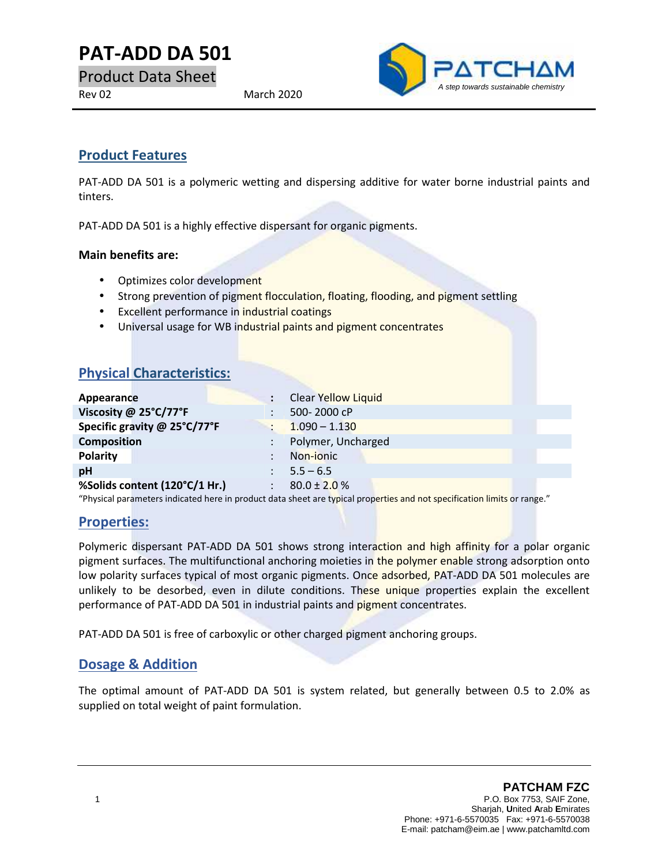# **PAT-ADD DA 501**<br>Product Data Sheet<br>Rev 02 March 2020

Product Data Sheet



# **Product Features**

PAT-ADD DA 501 is a polymeric wetting and dispersing additive for water borne industrial paints and tinters.

PAT-ADD DA 501 is a highly effective dispersant for organic pigments.

#### **Main benefits are:**

- Optimizes color development
- Strong prevention of pigment flocculation, floating, flooding, and pigment settling
- **•** Excellent performance in industrial coatings
- Universal usage for WB industrial paints and pigment concentrates

# **Physical Characteristics:**

| Universal usage for WB industrial paints and pignient concentrates                                                       |                     |
|--------------------------------------------------------------------------------------------------------------------------|---------------------|
|                                                                                                                          |                     |
|                                                                                                                          |                     |
| <b>Physical Characteristics:</b>                                                                                         |                     |
|                                                                                                                          |                     |
| Appearance                                                                                                               | Clear Yellow Liquid |
|                                                                                                                          |                     |
| Viscosity @ 25°C/77°F                                                                                                    | 500-2000 cP         |
| Specific gravity @ 25°C/77°F                                                                                             | $1.090 - 1.130$     |
| <b>Composition</b>                                                                                                       | Polymer, Uncharged  |
| <b>Polarity</b>                                                                                                          | Non-ionic           |
| pH                                                                                                                       | $5.5 - 6.5$         |
| %Solids content (120°C/1 Hr.)                                                                                            | $80.0 \pm 2.0 \%$   |
| "Physical parameters indicated here in product data sheet are typical properties and not specification limits or range." |                     |
|                                                                                                                          |                     |

### **Properties:**

Polymeric dispersant PAT-ADD DA 501 shows strong interaction and high affinity for a polar organic pigment surfaces. The multifunctional anchoring moieties in the polymer enable strong adsorption onto low polarity surfaces typical of most organic pigments. Once adsorbed, PAT-ADD DA 501 molecules are unlikely to be desorbed, even in dilute conditions. These unique properties explain the excellent performance of PAT-ADD DA 501 in industrial paints and pigment concentrates.

PAT-ADD DA 501 is free of carboxylic or other charged pigment anchoring groups.

# **Dosage & Addition**

The optimal amount of PAT-ADD DA 501 is system related, but generally between 0.5 to 2.0% as supplied on total weight of paint formulation.